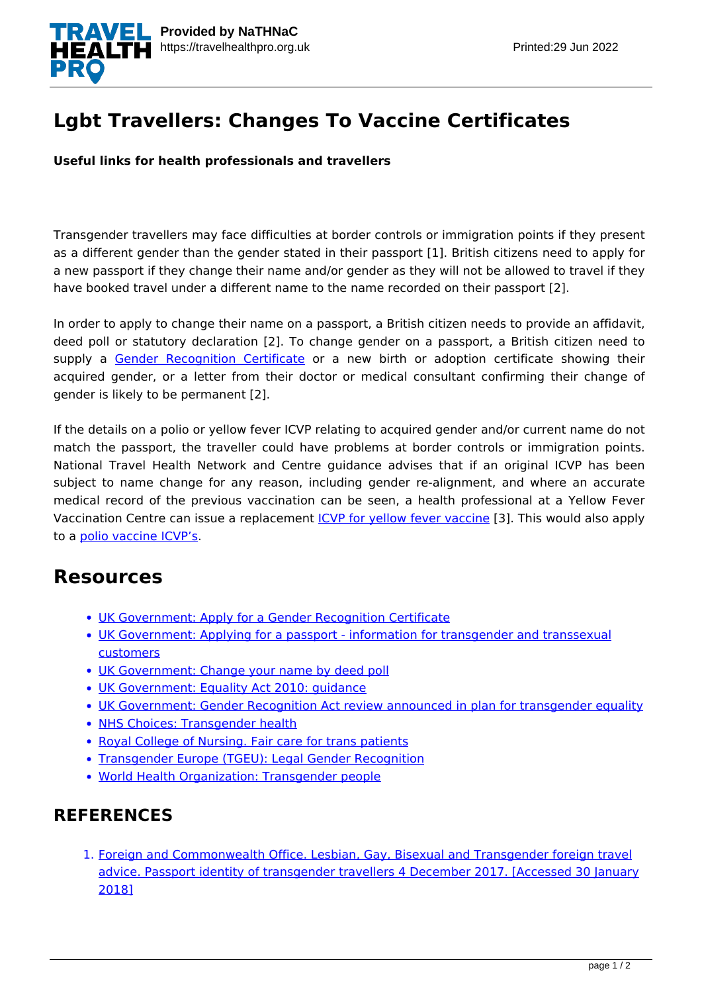

## **Lgbt Travellers: Changes To Vaccine Certificates**

**Useful links for health professionals and travellers**

Transgender travellers may face difficulties at border controls or immigration points if they present as a different gender than the gender stated in their passport [1]. British citizens need to apply for a new passport if they change their name and/or gender as they will not be allowed to travel if they have booked travel under a different name to the name recorded on their passport [2].

In order to apply to change their name on a passport, a British citizen needs to provide an affidavit, deed poll or statutory declaration [2]. To change gender on a passport, a British citizen need to supply a [Gender Recognition Certificate](https://www.gov.uk/apply-gender-recognition-certificate) or a new birth or adoption certificate showing their acquired gender, or a letter from their doctor or medical consultant confirming their change of gender is likely to be permanent [2].

If the details on a polio or yellow fever ICVP relating to acquired gender and/or current name do not match the passport, the traveller could have problems at border controls or immigration points. National Travel Health Network and Centre guidance advises that if an original ICVP has been subject to name change for any reason, including gender re-alignment, and where an accurate medical record of the previous vaccination can be seen, a health professional at a Yellow Fever Vaccination Centre can issue a replacement *[ICVP for yellow fever vaccine](https://nathnacyfzone.org.uk/factsheet/5/international-certificate-of-vaccination-or-prophylaxis-icvp)* [3]. This would also apply to a [polio vaccine ICVP's.](https://travelhealthpro.org.uk/factsheet/17/polio-vaccination-certificate)

## **Resources**

- [UK Government: Apply for a Gender Recognition Certificate](https://www.gov.uk/apply-gender-recognition-certificate)
- [UK Government: Applying for a passport information for transgender and transsexual](https://www.gov.uk/government/publications/applying-for-a-passport-information-for-transgender-and-transsexual-customers) [customers](https://www.gov.uk/government/publications/applying-for-a-passport-information-for-transgender-and-transsexual-customers)
- [UK Government: Change your name by deed poll](https://www.gov.uk/change-name-deed-poll)
- [UK Government: Equality Act 2010: guidance](https://www.gov.uk/guidance/equality-act-2010-guidance)
- [UK Government: Gender Recognition Act review announced in plan for transgender equality](https://www.gov.uk/government/news/gender-recognition-act-review-announced-in-plan-for-transgender-equality)
- [NHS Choices: Transgender health](https://www.nhs.uk/livewell/transhealth/pages/transhealthhome.aspx)
- [Royal College of Nursing. Fair care for trans patients](https://www.rcn.org.uk/professional-development/publications/pub-005575)
- [Transgender Europe \(TGEU\): Legal Gender Recognition](https://tgeu.org/issues/legal-gender-recognition/)
- [World Health Organization: Transgender people](http://www.who.int/hiv/topics/transgender/en/)

## **REFERENCES**

1. [Foreign and Commonwealth Office. Lesbian, Gay, Bisexual and Transgender foreign travel](https://www.gov.uk/guidance/lesbian-gay-bisexual-and-transgender-foreign-travel-advice#passport-identity-of-transgender-travellers) [advice. Passport identity of transgender travellers 4 December 2017. \[Accessed 30 January](https://www.gov.uk/guidance/lesbian-gay-bisexual-and-transgender-foreign-travel-advice#passport-identity-of-transgender-travellers) [2018\]](https://www.gov.uk/guidance/lesbian-gay-bisexual-and-transgender-foreign-travel-advice#passport-identity-of-transgender-travellers)